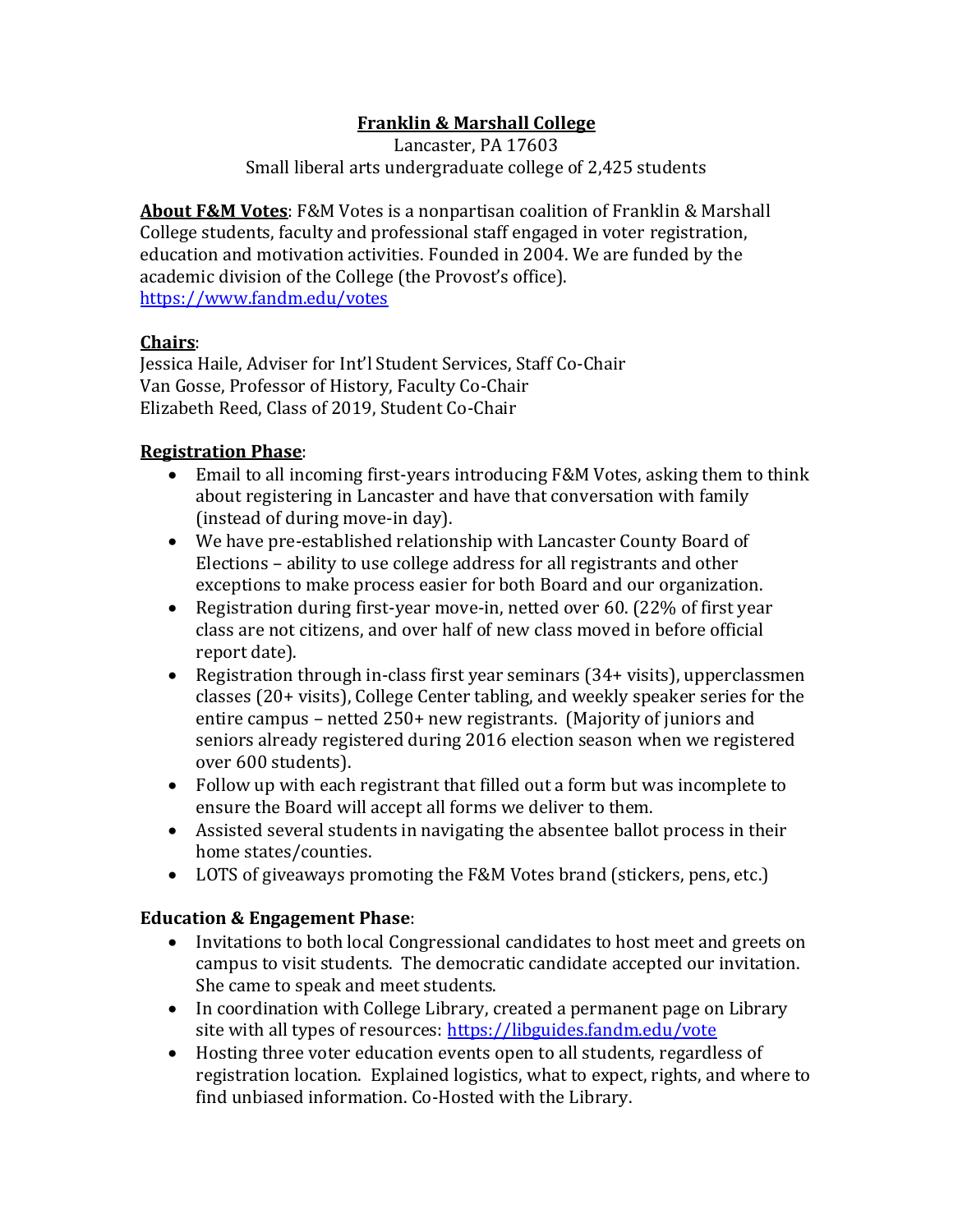# **Franklin & Marshall College**

Lancaster, PA 17603 Small liberal arts undergraduate college of 2,425 students

**About F&M Votes**: F&M Votes is a nonpartisan coalition of Franklin & Marshall College students, faculty and professional staff engaged in voter registration, education and motivation activities. Founded in 2004. We are funded by the academic division of the College (the Provost's office). <https://www.fandm.edu/votes>

## **Chairs**:

Jessica Haile, Adviser for Int'l Student Services, Staff Co-Chair Van Gosse, Professor of History, Faculty Co-Chair Elizabeth Reed, Class of 2019, Student Co-Chair

## **Registration Phase**:

- Email to all incoming first-years introducing F&M Votes, asking them to think about registering in Lancaster and have that conversation with family (instead of during move-in day).
- We have pre-established relationship with Lancaster County Board of Elections – ability to use college address for all registrants and other exceptions to make process easier for both Board and our organization.
- Registration during first-year move-in, netted over 60. (22% of first year class are not citizens, and over half of new class moved in before official report date).
- Registration through in-class first year seminars (34+ visits), upperclassmen classes (20+ visits), College Center tabling, and weekly speaker series for the entire campus – netted 250+ new registrants. (Majority of juniors and seniors already registered during 2016 election season when we registered over 600 students).
- Follow up with each registrant that filled out a form but was incomplete to ensure the Board will accept all forms we deliver to them.
- Assisted several students in navigating the absentee ballot process in their home states/counties.
- LOTS of giveaways promoting the F&M Votes brand (stickers, pens, etc.)

#### **Education & Engagement Phase**:

- Invitations to both local Congressional candidates to host meet and greets on campus to visit students. The democratic candidate accepted our invitation. She came to speak and meet students.
- In coordination with College Library, created a permanent page on Library site with all types of resources:<https://libguides.fandm.edu/vote>
- Hosting three voter education events open to all students, regardless of registration location. Explained logistics, what to expect, rights, and where to find unbiased information. Co-Hosted with the Library.